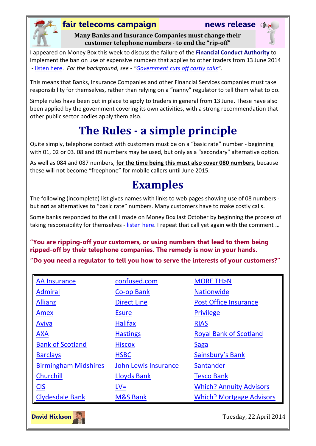

### **fair telecoms campaign news release**

**Many Banks and Insurance Companies must change their customer telephone numbers - to end the "rip-off"**



I appeared on Money Box this week to discuss the failure of the **Financial Conduct Authority** to implement the ban on use of expensive numbers that applies to other traders from 13 June 2014 - [listen here.](http://www.fairtelecoms.org.uk/radio-player.html?118) *For the background, see - "[Government cuts off costly calls](https://www.gov.uk/government/news/government-cuts-off-costly-calls)"*.

This means that Banks, Insurance Companies and other Financial Services companies must take responsibility for themselves, rather than relying on a "nanny" regulator to tell them what to do.

Simple rules have been put in place to apply to traders in general from 13 June. These have also been applied by the government covering its own activities, with a strong recommendation that other public sector bodies apply them also.

# **The Rules - a simple principle**

Quite simply, telephone contact with customers must be on a "basic rate" number - beginning with 01, 02 or 03. 08 and 09 numbers may be used, but only as a "secondary" alternative option.

As well as 084 and 087 numbers, **for the time being this must also cover 080 numbers**, because these will not become "freephone" for mobile callers until June 2015.

# **Examples**

The following (incomplete) list gives names with links to web pages showing use of 08 numbers but **not** as alternatives to "basic rate" numbers. Many customers have to make costly calls.

Some banks responded to the call I made on Money Box last October by beginning the process of taking responsibility for themselves - [listen here.](http://www.fairtelecoms.org.uk/radio-player.html?105) I repeat that call yet again with the comment ...

### **"You are ripping-off your customers, or using numbers that lead to them being ripped-off by their telephone companies. The remedy is now in your hands.**

**"Do you need a regulator to tell you how to serve the interests of your customers?"**

| <b>AA Insurance</b>         | confused.com                | <b>MORE TH&gt;N</b>             |
|-----------------------------|-----------------------------|---------------------------------|
| <b>Admiral</b>              | Co-op Bank                  | <b>Nationwide</b>               |
| <b>Allianz</b>              | <b>Direct Line</b>          | <b>Post Office Insurance</b>    |
| Amex                        | <b>Esure</b>                | <b>Privilege</b>                |
| <b>Aviva</b>                | <b>Halifax</b>              | <b>RIAS</b>                     |
| <b>AXA</b>                  | <b>Hastings</b>             | <b>Royal Bank of Scotland</b>   |
| <b>Bank of Scotland</b>     | <b>Hiscox</b>               | <b>Saga</b>                     |
| <b>Barclays</b>             | <b>HSBC</b>                 | Sainsbury's Bank                |
| <b>Birmingham Midshires</b> | <b>John Lewis Insurance</b> | Santander                       |
| Churchill                   | <b>Lloyds Bank</b>          | <b>Tesco Bank</b>               |
| CIS                         | $LV=$                       | <b>Which? Annuity Advisors</b>  |
| <b>Clydesdale Bank</b>      | <b>M&amp;S Bank</b>         | <b>Which? Mortgage Advisors</b> |



Tuesday, 22 April 2014